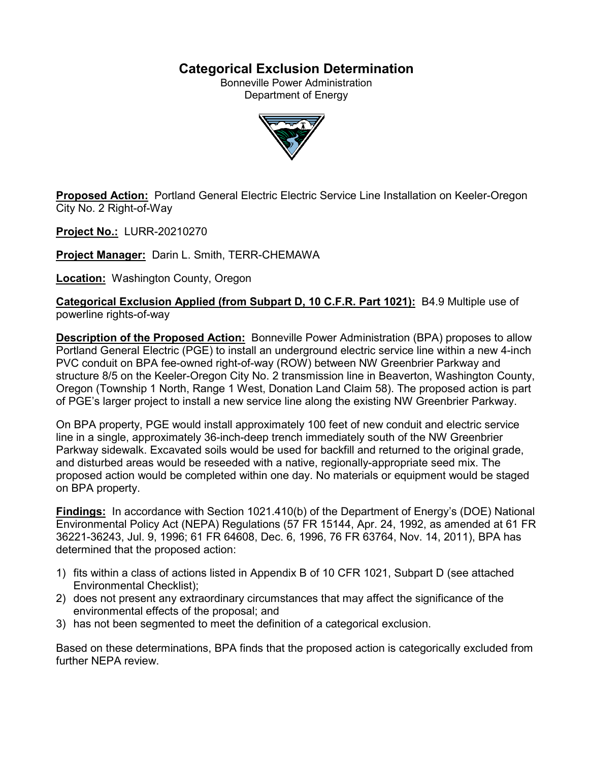# **Categorical Exclusion Determination**

Bonneville Power Administration Department of Energy



**Proposed Action:** Portland General Electric Electric Service Line Installation on Keeler-Oregon City No. 2 Right-of-Way

**Project No.:** LURR-20210270

**Project Manager:** Darin L. Smith, TERR-CHEMAWA

**Location:** Washington County, Oregon

**Categorical Exclusion Applied (from Subpart D, 10 C.F.R. Part 1021):** B4.9 Multiple use of powerline rights-of-way

**Description of the Proposed Action:** Bonneville Power Administration (BPA) proposes to allow Portland General Electric (PGE) to install an underground electric service line within a new 4-inch PVC conduit on BPA fee-owned right-of-way (ROW) between NW Greenbrier Parkway and structure 8/5 on the Keeler-Oregon City No. 2 transmission line in Beaverton, Washington County, Oregon (Township 1 North, Range 1 West, Donation Land Claim 58). The proposed action is part of PGE's larger project to install a new service line along the existing NW Greenbrier Parkway.

On BPA property, PGE would install approximately 100 feet of new conduit and electric service line in a single, approximately 36-inch-deep trench immediately south of the NW Greenbrier Parkway sidewalk. Excavated soils would be used for backfill and returned to the original grade, and disturbed areas would be reseeded with a native, regionally-appropriate seed mix. The proposed action would be completed within one day. No materials or equipment would be staged on BPA property.

**Findings:** In accordance with Section 1021.410(b) of the Department of Energy's (DOE) National Environmental Policy Act (NEPA) Regulations (57 FR 15144, Apr. 24, 1992, as amended at 61 FR 36221-36243, Jul. 9, 1996; 61 FR 64608, Dec. 6, 1996, 76 FR 63764, Nov. 14, 2011), BPA has determined that the proposed action:

- 1) fits within a class of actions listed in Appendix B of 10 CFR 1021, Subpart D (see attached Environmental Checklist);
- 2) does not present any extraordinary circumstances that may affect the significance of the environmental effects of the proposal; and
- 3) has not been segmented to meet the definition of a categorical exclusion.

Based on these determinations, BPA finds that the proposed action is categorically excluded from further NFPA review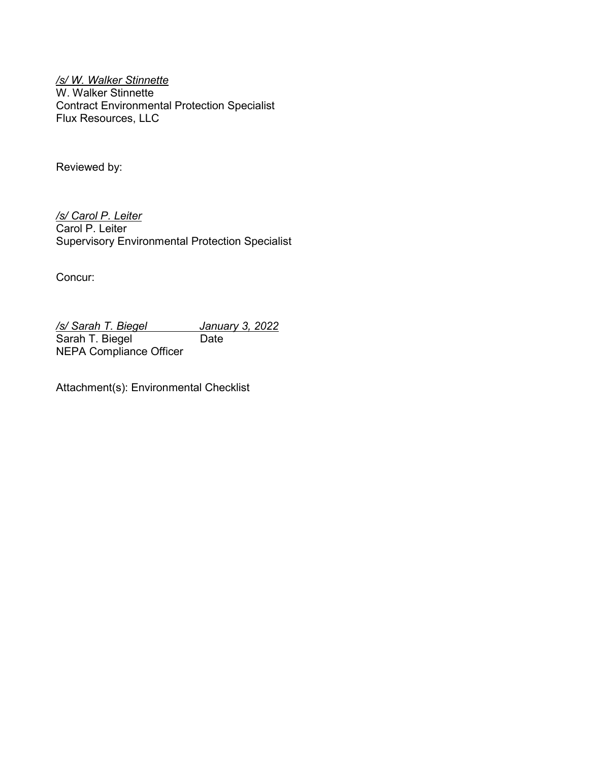*/s/ W. Walker Stinnette* W. Walker Stinnette Contract Environmental Protection Specialist Flux Resources, LLC

Reviewed by:

*/s/ Carol P. Leiter* Carol P. Leiter Supervisory Environmental Protection Specialist

Concur:

*/s/ Sarah T. Biegel January 3, 2022* Sarah T. Biegel Date NEPA Compliance Officer

Attachment(s): Environmental Checklist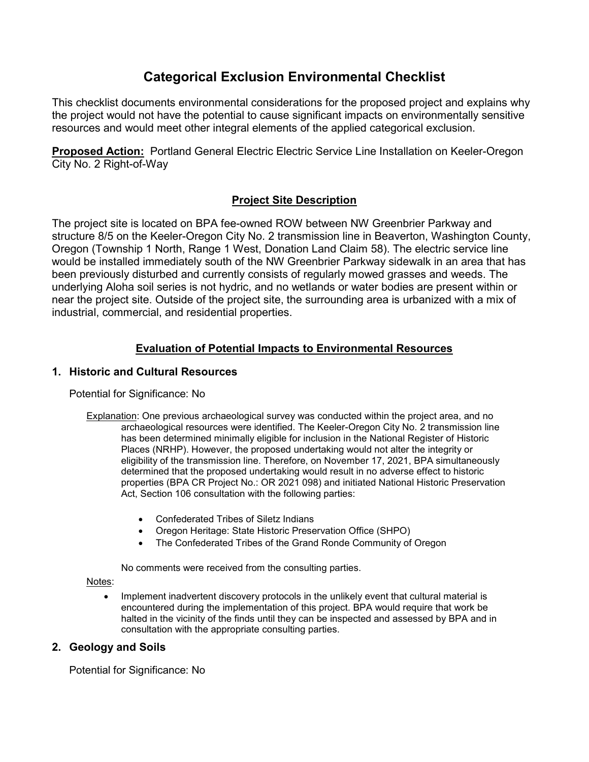# **Categorical Exclusion Environmental Checklist**

This checklist documents environmental considerations for the proposed project and explains why the project would not have the potential to cause significant impacts on environmentally sensitive resources and would meet other integral elements of the applied categorical exclusion.

**Proposed Action:** Portland General Electric Electric Service Line Installation on Keeler-Oregon City No. 2 Right-of-Way

## **Project Site Description**

The project site is located on BPA fee-owned ROW between NW Greenbrier Parkway and structure 8/5 on the Keeler-Oregon City No. 2 transmission line in Beaverton, Washington County, Oregon (Township 1 North, Range 1 West, Donation Land Claim 58). The electric service line would be installed immediately south of the NW Greenbrier Parkway sidewalk in an area that has been previously disturbed and currently consists of regularly mowed grasses and weeds. The underlying Aloha soil series is not hydric, and no wetlands or water bodies are present within or near the project site. Outside of the project site, the surrounding area is urbanized with a mix of industrial, commercial, and residential properties.

## **Evaluation of Potential Impacts to Environmental Resources**

## **1. Historic and Cultural Resources**

Potential for Significance: No

- Explanation: One previous archaeological survey was conducted within the project area, and no archaeological resources were identified. The Keeler-Oregon City No. 2 transmission line has been determined minimally eligible for inclusion in the National Register of Historic Places (NRHP). However, the proposed undertaking would not alter the integrity or eligibility of the transmission line. Therefore, on November 17, 2021, BPA simultaneously determined that the proposed undertaking would result in no adverse effect to historic properties (BPA CR Project No.: OR 2021 098) and initiated National Historic Preservation Act, Section 106 consultation with the following parties:
	- Confederated Tribes of Siletz Indians
	- Oregon Heritage: State Historic Preservation Office (SHPO)
	- The Confederated Tribes of the Grand Ronde Community of Oregon

No comments were received from the consulting parties.

Notes:

• Implement inadvertent discovery protocols in the unlikely event that cultural material is encountered during the implementation of this project. BPA would require that work be halted in the vicinity of the finds until they can be inspected and assessed by BPA and in consultation with the appropriate consulting parties.

## **2. Geology and Soils**

Potential for Significance: No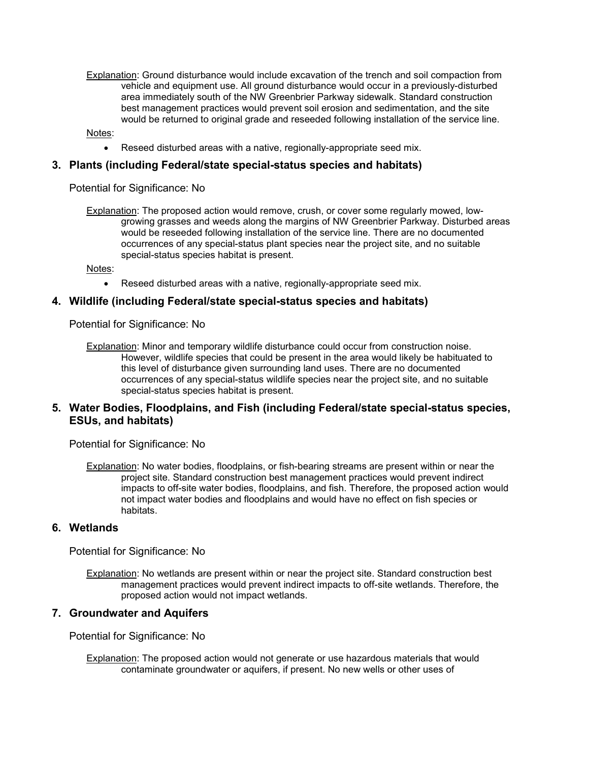Explanation: Ground disturbance would include excavation of the trench and soil compaction from vehicle and equipment use. All ground disturbance would occur in a previously-disturbed area immediately south of the NW Greenbrier Parkway sidewalk. Standard construction best management practices would prevent soil erosion and sedimentation, and the site would be returned to original grade and reseeded following installation of the service line.

Notes:

• Reseed disturbed areas with a native, regionally-appropriate seed mix.

#### **3. Plants (including Federal/state special-status species and habitats)**

Potential for Significance: No

Explanation: The proposed action would remove, crush, or cover some regularly mowed, lowgrowing grasses and weeds along the margins of NW Greenbrier Parkway. Disturbed areas would be reseeded following installation of the service line. There are no documented occurrences of any special-status plant species near the project site, and no suitable special-status species habitat is present.

Notes:

• Reseed disturbed areas with a native, regionally-appropriate seed mix.

#### **4. Wildlife (including Federal/state special-status species and habitats)**

Potential for Significance: No

Explanation: Minor and temporary wildlife disturbance could occur from construction noise. However, wildlife species that could be present in the area would likely be habituated to this level of disturbance given surrounding land uses. There are no documented occurrences of any special-status wildlife species near the project site, and no suitable special-status species habitat is present.

#### **5. Water Bodies, Floodplains, and Fish (including Federal/state special-status species, ESUs, and habitats)**

Potential for Significance: No

Explanation: No water bodies, floodplains, or fish-bearing streams are present within or near the project site. Standard construction best management practices would prevent indirect impacts to off-site water bodies, floodplains, and fish. Therefore, the proposed action would not impact water bodies and floodplains and would have no effect on fish species or habitats.

#### **6. Wetlands**

Potential for Significance: No

Explanation: No wetlands are present within or near the project site. Standard construction best management practices would prevent indirect impacts to off-site wetlands. Therefore, the proposed action would not impact wetlands.

#### **7. Groundwater and Aquifers**

Potential for Significance: No

Explanation: The proposed action would not generate or use hazardous materials that would contaminate groundwater or aquifers, if present. No new wells or other uses of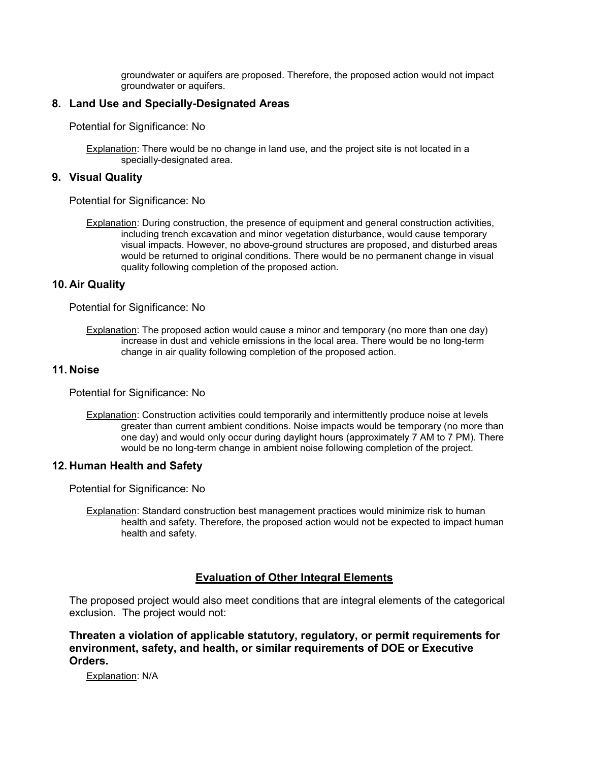groundwater or aquifers are proposed. Therefore, the proposed action would not impact groundwater or aquifers.

## **8. Land Use and Specially-Designated Areas**

Potential for Significance: No

Explanation: There would be no change in land use, and the project site is not located in a specially-designated area.

### **9. Visual Quality**

Potential for Significance: No

Explanation: During construction, the presence of equipment and general construction activities, including trench excavation and minor vegetation disturbance, would cause temporary visual impacts. However, no above-ground structures are proposed, and disturbed areas would be returned to original conditions. There would be no permanent change in visual quality following completion of the proposed action.

#### **10. Air Quality**

Potential for Significance: No

Explanation: The proposed action would cause a minor and temporary (no more than one day) increase in dust and vehicle emissions in the local area. There would be no long-term change in air quality following completion of the proposed action.

#### **11. Noise**

Potential for Significance: No

Explanation: Construction activities could temporarily and intermittently produce noise at levels greater than current ambient conditions. Noise impacts would be temporary (no more than one day) and would only occur during daylight hours (approximately 7 AM to 7 PM). There would be no long-term change in ambient noise following completion of the project.

#### **12. Human Health and Safety**

Potential for Significance: No

Explanation: Standard construction best management practices would minimize risk to human health and safety. Therefore, the proposed action would not be expected to impact human health and safety.

## **Evaluation of Other Integral Elements**

The proposed project would also meet conditions that are integral elements of the categorical exclusion. The project would not:

**Threaten a violation of applicable statutory, regulatory, or permit requirements for environment, safety, and health, or similar requirements of DOE or Executive Orders.**

Explanation: N/A